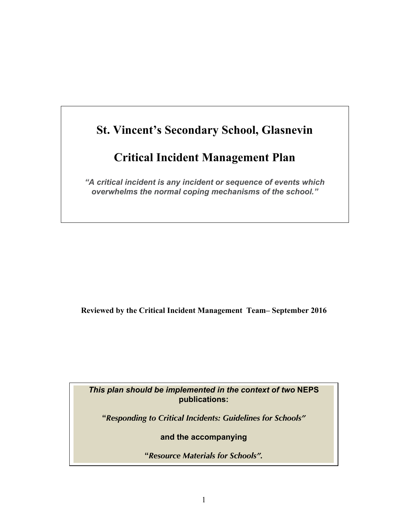# **St. Vincent's Secondary School, Glasnevin**

# **Critical Incident Management Plan**

*"A critical incident is any incident or sequence of events which overwhelms the normal coping mechanisms of the school."*

**Reviewed by the Critical Incident Management Team– September 2016**

*This plan should be implemented in the context of two* **NEPS publications:**

**"***Responding to Critical Incidents: Guidelines for Schools"* 

**and the accompanying**

**"***Resource Materials for Schools".*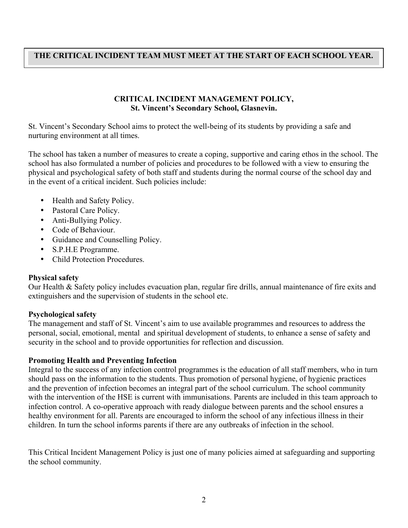#### **THE CRITICAL INCIDENT TEAM MUST MEET AT THE START OF EACH SCHOOL YEAR.**

#### **CRITICAL INCIDENT MANAGEMENT POLICY, St. Vincent's Secondary School, Glasnevin.**

St. Vincent's Secondary School aims to protect the well-being of its students by providing a safe and nurturing environment at all times.

The school has taken a number of measures to create a coping, supportive and caring ethos in the school. The school has also formulated a number of policies and procedures to be followed with a view to ensuring the physical and psychological safety of both staff and students during the normal course of the school day and in the event of a critical incident. Such policies include:

- Health and Safety Policy.
- Pastoral Care Policy.
- Anti-Bullying Policy.
- Code of Behaviour.
- Guidance and Counselling Policy.
- S.P.H.E Programme.
- Child Protection Procedures.

#### **Physical safety**

Our Health & Safety policy includes evacuation plan, regular fire drills, annual maintenance of fire exits and extinguishers and the supervision of students in the school etc.

#### **Psychological safety**

The management and staff of St. Vincent's aim to use available programmes and resources to address the personal, social, emotional, mental and spiritual development of students, to enhance a sense of safety and security in the school and to provide opportunities for reflection and discussion.

#### **Promoting Health and Preventing Infection**

Integral to the success of any infection control programmes is the education of all staff members, who in turn should pass on the information to the students. Thus promotion of personal hygiene, of hygienic practices and the prevention of infection becomes an integral part of the school curriculum. The school community with the intervention of the HSE is current with immunisations. Parents are included in this team approach to infection control. A co-operative approach with ready dialogue between parents and the school ensures a healthy environment for all. Parents are encouraged to inform the school of any infectious illness in their children. In turn the school informs parents if there are any outbreaks of infection in the school.

This Critical Incident Management Policy is just one of many policies aimed at safeguarding and supporting the school community.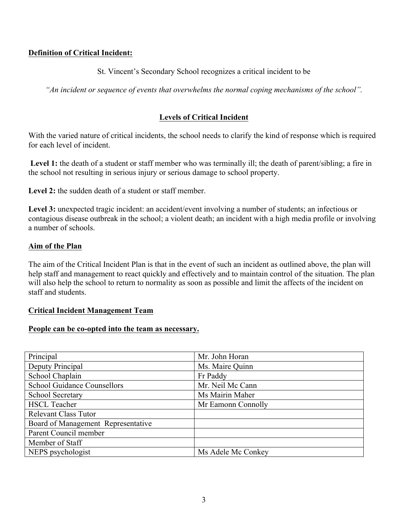#### **Definition of Critical Incident:**

#### St. Vincent's Secondary School recognizes a critical incident to be

*"An incident or sequence of events that overwhelms the normal coping mechanisms of the school".*

## **Levels of Critical Incident**

With the varied nature of critical incidents, the school needs to clarify the kind of response which is required for each level of incident.

Level 1: the death of a student or staff member who was terminally ill; the death of parent/sibling; a fire in the school not resulting in serious injury or serious damage to school property.

Level 2: the sudden death of a student or staff member.

Level 3: unexpected tragic incident: an accident/event involving a number of students; an infectious or contagious disease outbreak in the school; a violent death; an incident with a high media profile or involving a number of schools.

#### **Aim of the Plan**

The aim of the Critical Incident Plan is that in the event of such an incident as outlined above, the plan will help staff and management to react quickly and effectively and to maintain control of the situation. The plan will also help the school to return to normality as soon as possible and limit the affects of the incident on staff and students.

#### **Critical Incident Management Team**

#### **People can be co-opted into the team as necessary.**

| Principal                          | Mr. John Horan     |
|------------------------------------|--------------------|
| Deputy Principal                   | Ms. Maire Quinn    |
| School Chaplain                    | Fr Paddy           |
| <b>School Guidance Counsellors</b> | Mr. Neil Mc Cann   |
| <b>School Secretary</b>            | Ms Mairin Maher    |
| <b>HSCL Teacher</b>                | Mr Eamonn Connolly |
| <b>Relevant Class Tutor</b>        |                    |
| Board of Management Representative |                    |
| Parent Council member              |                    |
| Member of Staff                    |                    |
| NEPS psychologist                  | Ms Adele Mc Conkey |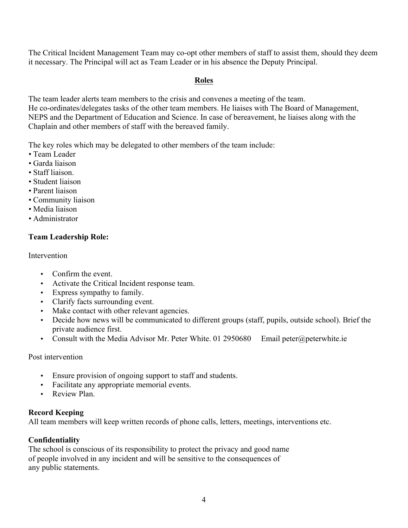The Critical Incident Management Team may co-opt other members of staff to assist them, should they deem it necessary. The Principal will act as Team Leader or in his absence the Deputy Principal.

# **Roles**

The team leader alerts team members to the crisis and convenes a meeting of the team. He co-ordinates/delegates tasks of the other team members. He liaises with The Board of Management, NEPS and the Department of Education and Science. In case of bereavement, he liaises along with the Chaplain and other members of staff with the bereaved family.

The key roles which may be delegated to other members of the team include:

- Team Leader
- Garda liaison
- Staff liaison.
- Student liaison
- Parent liaison
- Community liaison
- Media liaison
- Administrator

# **Team Leadership Role:**

#### **Intervention**

- Confirm the event.
- Activate the Critical Incident response team.
- Express sympathy to family.
- Clarify facts surrounding event.
- Make contact with other relevant agencies.
- Decide how news will be communicated to different groups (staff, pupils, outside school). Brief the private audience first.
- Consult with the Media Advisor Mr. Peter White. 01 2950680 Email peter@peterwhite.ie

#### Post intervention

- Ensure provision of ongoing support to staff and students.
- Facilitate any appropriate memorial events.
- Review Plan.

# **Record Keeping**

All team members will keep written records of phone calls, letters, meetings, interventions etc.

# **Confidentiality**

The school is conscious of its responsibility to protect the privacy and good name of people involved in any incident and will be sensitive to the consequences of any public statements.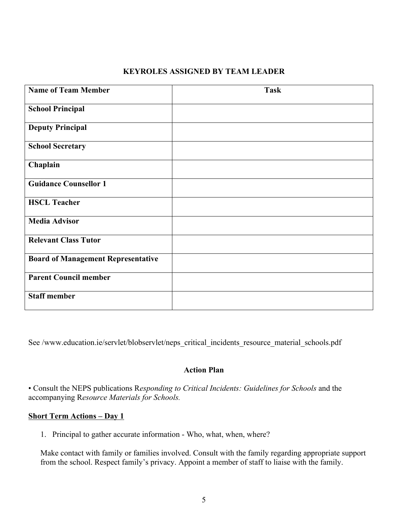#### **KEYROLES ASSIGNED BY TEAM LEADER**

| <b>Name of Team Member</b>                | <b>Task</b> |
|-------------------------------------------|-------------|
|                                           |             |
|                                           |             |
| <b>School Principal</b>                   |             |
|                                           |             |
| <b>Deputy Principal</b>                   |             |
|                                           |             |
| <b>School Secretary</b>                   |             |
|                                           |             |
|                                           |             |
| Chaplain                                  |             |
|                                           |             |
| <b>Guidance Counsellor 1</b>              |             |
|                                           |             |
| <b>HSCL Teacher</b>                       |             |
|                                           |             |
| <b>Media Advisor</b>                      |             |
|                                           |             |
|                                           |             |
| <b>Relevant Class Tutor</b>               |             |
|                                           |             |
| <b>Board of Management Representative</b> |             |
|                                           |             |
| <b>Parent Council member</b>              |             |
|                                           |             |
| <b>Staff member</b>                       |             |
|                                           |             |
|                                           |             |

See /www.education.ie/servlet/blobservlet/neps\_critical\_incidents\_resource\_material\_schools.pdf

#### **Action Plan**

• Consult the NEPS publications R*esponding to Critical Incidents: Guidelines for Schools* and the accompanying R*esource Materials for Schools.*

#### **Short Term Actions – Day 1**

1. Principal to gather accurate information - Who, what, when, where?

Make contact with family or families involved. Consult with the family regarding appropriate support from the school. Respect family's privacy. Appoint a member of staff to liaise with the family.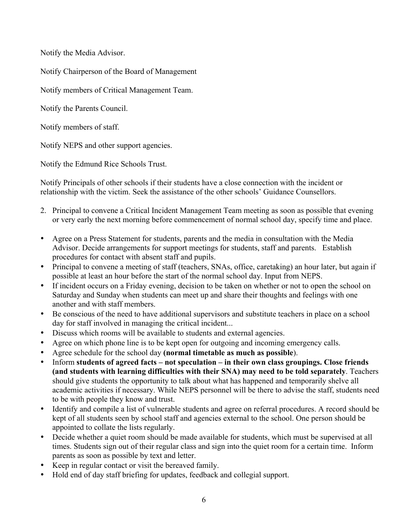Notify the Media Advisor.

Notify Chairperson of the Board of Management

Notify members of Critical Management Team.

Notify the Parents Council.

Notify members of staff.

Notify NEPS and other support agencies.

Notify the Edmund Rice Schools Trust.

Notify Principals of other schools if their students have a close connection with the incident or relationship with the victim. Seek the assistance of the other schools' Guidance Counsellors.

- 2. Principal to convene a Critical Incident Management Team meeting as soon as possible that evening or very early the next morning before commencement of normal school day, specify time and place.
- Agree on a Press Statement for students, parents and the media in consultation with the Media Advisor. Decide arrangements for support meetings for students, staff and parents. Establish procedures for contact with absent staff and pupils.
- Principal to convene a meeting of staff (teachers, SNAs, office, caretaking) an hour later, but again if possible at least an hour before the start of the normal school day. Input from NEPS.
- If incident occurs on a Friday evening, decision to be taken on whether or not to open the school on Saturday and Sunday when students can meet up and share their thoughts and feelings with one another and with staff members.
- Be conscious of the need to have additional supervisors and substitute teachers in place on a school day for staff involved in managing the critical incident...
- Discuss which rooms will be available to students and external agencies.
- Agree on which phone line is to be kept open for outgoing and incoming emergency calls.
- Agree schedule for the school day **(normal timetable as much as possible**).
- Inform **students of agreed facts – not speculation – in their own class groupings. Close friends (and students with learning difficulties with their SNA) may need to be told separately**. Teachers should give students the opportunity to talk about what has happened and temporarily shelve all academic activities if necessary. While NEPS personnel will be there to advise the staff, students need to be with people they know and trust.
- Identify and compile a list of vulnerable students and agree on referral procedures. A record should be kept of all students seen by school staff and agencies external to the school. One person should be appointed to collate the lists regularly.
- Decide whether a quiet room should be made available for students, which must be supervised at all times. Students sign out of their regular class and sign into the quiet room for a certain time. Inform parents as soon as possible by text and letter.
- Keep in regular contact or visit the bereaved family.
- Hold end of day staff briefing for updates, feedback and collegial support.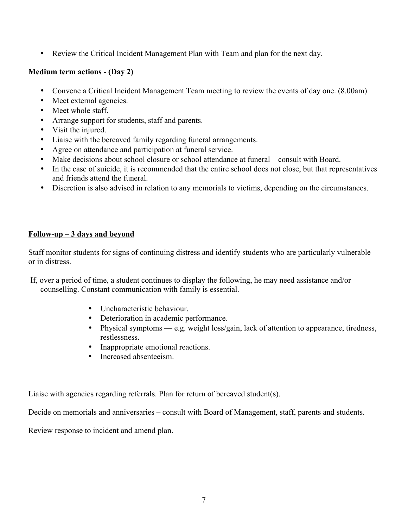• Review the Critical Incident Management Plan with Team and plan for the next day.

#### **Medium term actions - (Day 2)**

- Convene a Critical Incident Management Team meeting to review the events of day one. (8.00am)
- Meet external agencies.
- Meet whole staff.
- Arrange support for students, staff and parents.
- Visit the injured.
- Liaise with the bereaved family regarding funeral arrangements.
- Agree on attendance and participation at funeral service.
- Make decisions about school closure or school attendance at funeral consult with Board.
- In the case of suicide, it is recommended that the entire school does not close, but that representatives and friends attend the funeral.
- Discretion is also advised in relation to any memorials to victims, depending on the circumstances.

#### **Follow-up – 3 days and beyond**

Staff monitor students for signs of continuing distress and identify students who are particularly vulnerable or in distress.

- If, over a period of time, a student continues to display the following, he may need assistance and/or counselling. Constant communication with family is essential.
	- Uncharacteristic behaviour.
	- Deterioration in academic performance.
	- Physical symptoms e.g. weight loss/gain, lack of attention to appearance, tiredness, restlessness.
	- Inappropriate emotional reactions.
	- Increased absenteeism.

Liaise with agencies regarding referrals. Plan for return of bereaved student(s).

Decide on memorials and anniversaries – consult with Board of Management, staff, parents and students.

Review response to incident and amend plan.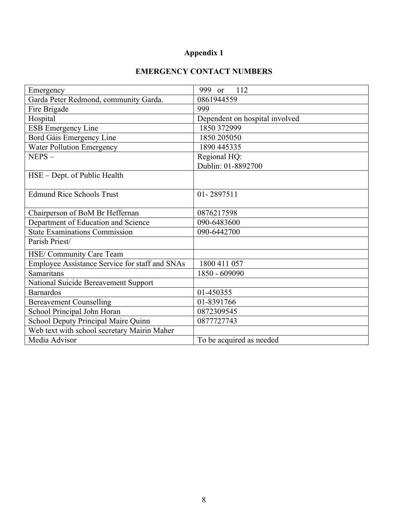# **Appendix 1**

# **EMERGENCY CONTACT NUMBERS**

| Emergency                                      | 999 or<br>112                  |
|------------------------------------------------|--------------------------------|
| Garda Peter Redmond, community Garda.          | 0861944559                     |
| Fire Brigade                                   | 999                            |
| Hospital                                       | Dependent on hospital involved |
| <b>ESB Emergency Line</b>                      | 1850 372999                    |
| Bord Gáis Emergency Line                       | 1850 205050                    |
| <b>Water Pollution Emergency</b>               | 1890 445335                    |
| $NEPS -$                                       | Regional HQ:                   |
|                                                | Dublin: 01-8892700             |
| HSE - Dept. of Public Health                   |                                |
|                                                |                                |
| <b>Edmund Rice Schools Trust</b>               | 01-2897511                     |
|                                                |                                |
| Chairperson of BoM Br Heffernan                | 0876217598                     |
| Department of Education and Science            | 090-6483600                    |
| <b>State Examinations Commission</b>           | 090-6442700                    |
| Parish Priest/                                 |                                |
| HSE/ Community Care Team                       |                                |
| Employee Assistance Service for staff and SNAs | 1800 411 057                   |
| Samaritans                                     | 1850 - 609090                  |
| National Suicide Bereavement Support           |                                |
| <b>Barnardos</b>                               | 01-450355                      |
| <b>Bereavement Counselling</b>                 | 01-8391766                     |
| School Principal John Horan                    | 0872309545                     |
| School Deputy Principal Maire Quinn            | 0877727743                     |
| Web text with school secretary Mairin Maher    |                                |
| Media Advisor                                  | To be acquired as needed       |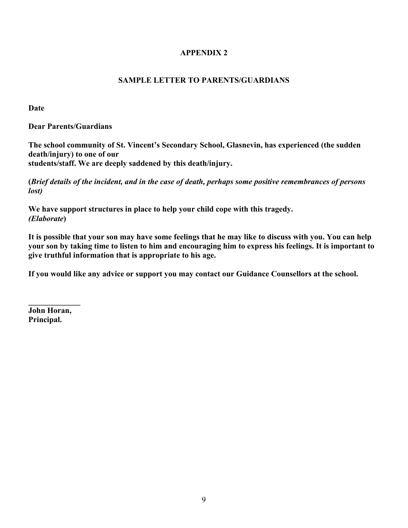#### **APPENDIX 2**

## **SAMPLE LETTER TO PARENTS/GUARDIANS**

**Date**

**Dear Parents/Guardians**

**The school community of St. Vincent's Secondary School, Glasnevin, has experienced (the sudden death/injury) to one of our students/staff. We are deeply saddened by this death/injury.**

**(***Brief details of the incident, and in the case of death, perhaps some positive remembrances of persons lost)*

**We have support structures in place to help your child cope with this tragedy.** *(Elaborate***)**

**It is possible that your son may have some feelings that he may like to discuss with you. You can help your son by taking time to listen to him and encouraging him to express his feelings. It is important to give truthful information that is appropriate to his age.**

**If you would like any advice or support you may contact our Guidance Counsellors at the school.**

**John Horan, Principal.**

**\_\_\_\_\_\_\_\_\_\_\_\_\_**